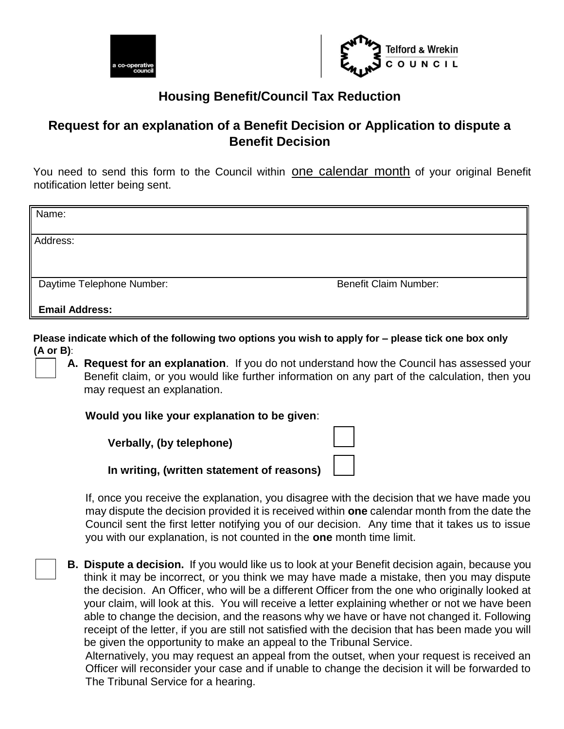



## **Housing Benefit/Council Tax Reduction**

## **Request for an explanation of a Benefit Decision or Application to dispute a Benefit Decision**

You need to send this form to the Council within one calendar month of your original Benefit notification letter being sent.

| Name:                                              |                              |  |
|----------------------------------------------------|------------------------------|--|
| Address:                                           |                              |  |
| Daytime Telephone Number:<br><b>Email Address:</b> | <b>Benefit Claim Number:</b> |  |

**Please indicate which of the following two options you wish to apply for – please tick one box only (A or B)**:

**A. Request for an explanation**. If you do not understand how the Council has assessed your Benefit claim, or you would like further information on any part of the calculation, then you may request an explanation.

**Would you like your explanation to be given**:

| Verbally, (by telephone)                   |  |
|--------------------------------------------|--|
| In writing, (written statement of reasons) |  |

If, once you receive the explanation, you disagree with the decision that we have made you may dispute the decision provided it is received within **one** calendar month from the date the Council sent the first letter notifying you of our decision. Any time that it takes us to issue you with our explanation, is not counted in the **one** month time limit.

**B. Dispute a decision.** If you would like us to look at your Benefit decision again, because you think it may be incorrect, or you think we may have made a mistake, then you may dispute the decision. An Officer, who will be a different Officer from the one who originally looked at your claim, will look at this. You will receive a letter explaining whether or not we have been able to change the decision, and the reasons why we have or have not changed it. Following receipt of the letter, if you are still not satisfied with the decision that has been made you will be given the opportunity to make an appeal to the Tribunal Service.

Alternatively, you may request an appeal from the outset, when your request is received an Officer will reconsider your case and if unable to change the decision it will be forwarded to The Tribunal Service for a hearing.